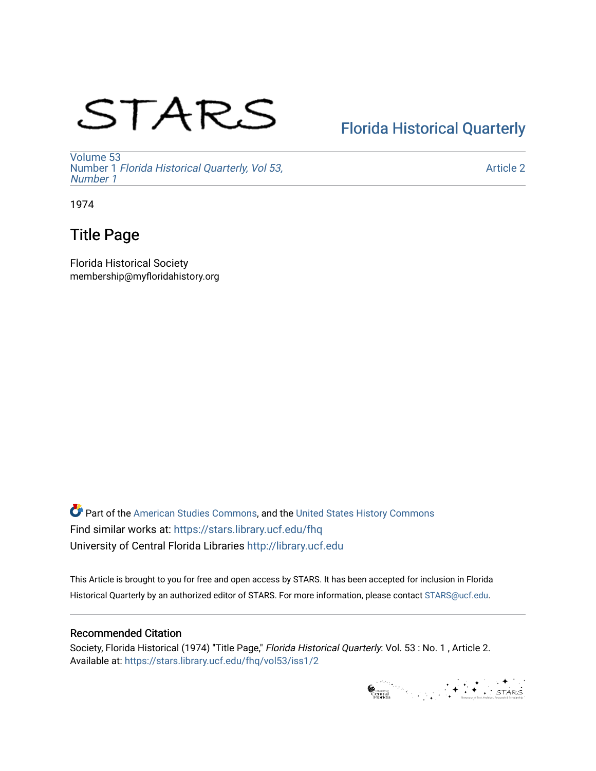# STARS

# [Florida Historical Quarterly](https://stars.library.ucf.edu/fhq)

[Volume 53](https://stars.library.ucf.edu/fhq/vol53) Number 1 [Florida Historical Quarterly, Vol 53,](https://stars.library.ucf.edu/fhq/vol53/iss1)  [Number 1](https://stars.library.ucf.edu/fhq/vol53/iss1)

[Article 2](https://stars.library.ucf.edu/fhq/vol53/iss1/2) 

1974

## Title Page

Florida Historical Society membership@myfloridahistory.org

**C** Part of the [American Studies Commons](http://network.bepress.com/hgg/discipline/439?utm_source=stars.library.ucf.edu%2Ffhq%2Fvol53%2Fiss1%2F2&utm_medium=PDF&utm_campaign=PDFCoverPages), and the United States History Commons Find similar works at: <https://stars.library.ucf.edu/fhq> University of Central Florida Libraries [http://library.ucf.edu](http://library.ucf.edu/) 

This Article is brought to you for free and open access by STARS. It has been accepted for inclusion in Florida Historical Quarterly by an authorized editor of STARS. For more information, please contact [STARS@ucf.edu.](mailto:STARS@ucf.edu)

## Recommended Citation

Society, Florida Historical (1974) "Title Page," Florida Historical Quarterly: Vol. 53 : No. 1 , Article 2. Available at: [https://stars.library.ucf.edu/fhq/vol53/iss1/2](https://stars.library.ucf.edu/fhq/vol53/iss1/2?utm_source=stars.library.ucf.edu%2Ffhq%2Fvol53%2Fiss1%2F2&utm_medium=PDF&utm_campaign=PDFCoverPages) 

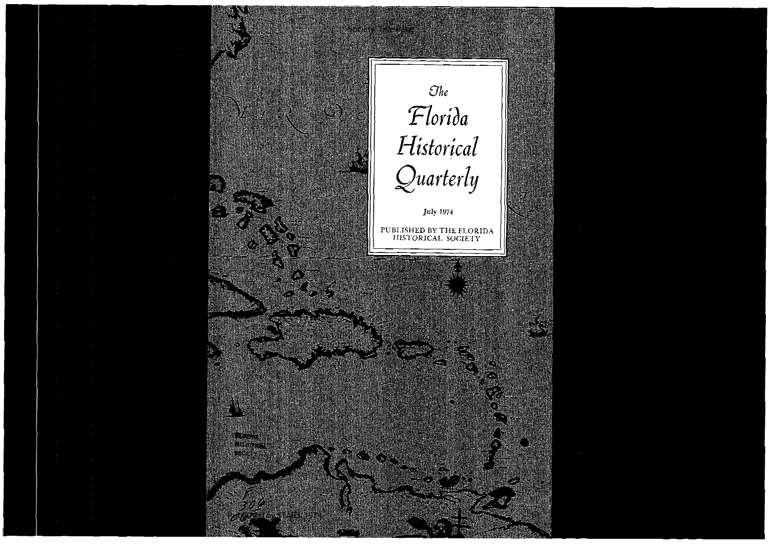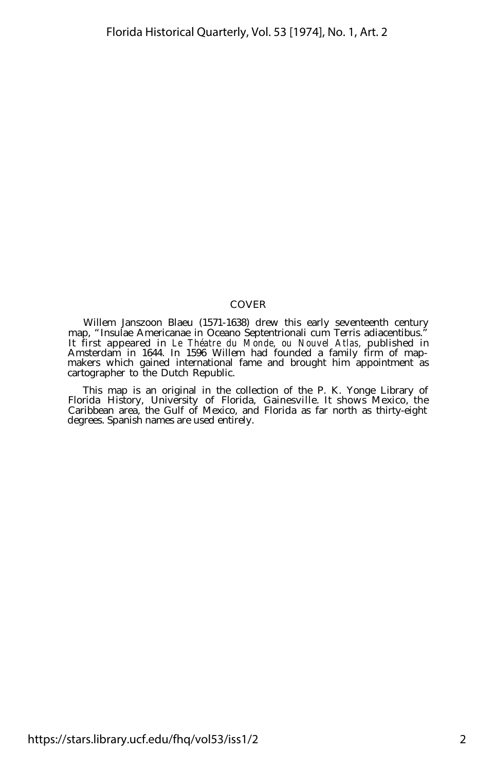#### COVER

Willem Janszoon Blaeu (1571-1638) drew this early seventeenth century map, "Insulae Americanae in Oceano Septentrionali cum Terris adiacentibus." It first appeared in *Le Théatre du Monde, ou Nouvel Atlas,* published in Amsterdam in 1644. In 1596 Willem had founded a family firm of mapmakers which gained international fame and brought him appointment as cartographer to the Dutch Republic.

This map is an original in the collection of the P. K. Yonge Library of Florida History, University of Florida, Gainesville. It shows Mexico, the Caribbean area, the Gulf of Mexico, and Florida as far north as thirty-eight degrees. Spanish names are used entirely.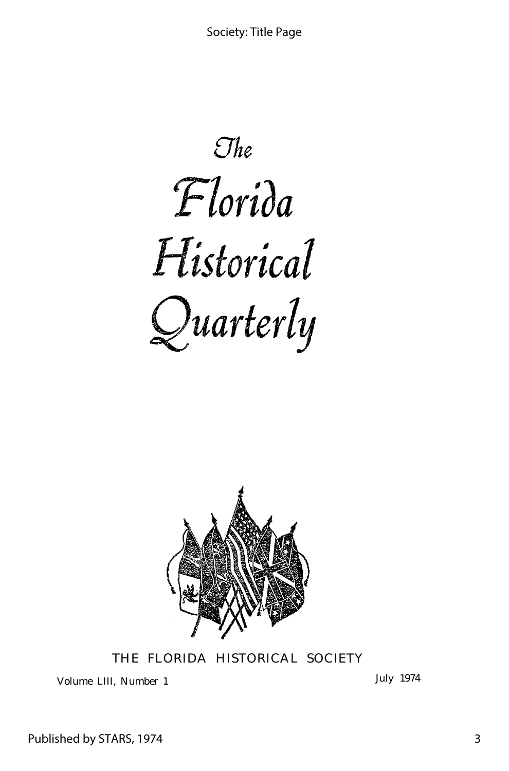$The$ Florida Historical Quarterly



THE FLORIDA HISTORICAL SOCIETY

Volume LIII. Number 1 July 1974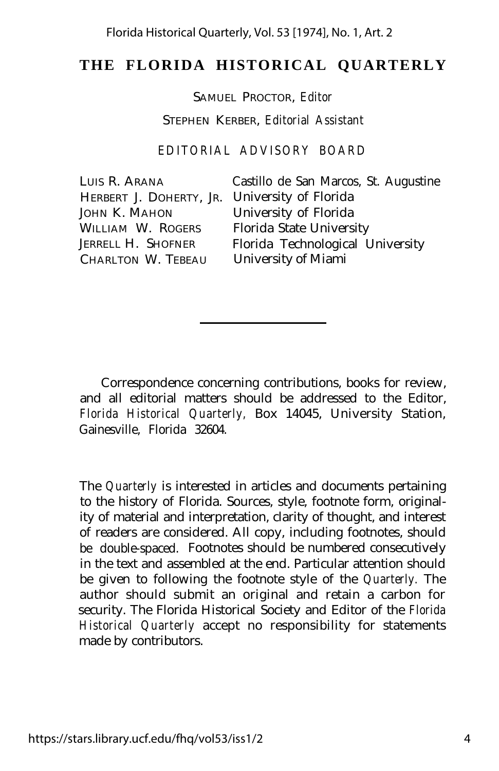## **THE FLORIDA HISTORICAL QUARTERLY**

SAMUEL PROCTOR, *Editor* STEPHEN KERBER, *Editorial Assistant*

*EDITORIAL ADVISORY BOARD*

| LUIS R. ARANA                                 | Castillo de San Marcos, St. Augustine |
|-----------------------------------------------|---------------------------------------|
| HERBERT J. DOHERTY, JR. University of Florida |                                       |
| JOHN K. MAHON                                 | University of Florida                 |
| WILLIAM W. ROGERS                             | Florida State University              |
| JERRELL H. SHOFNER                            | Florida Technological University      |
| CHARLTON W. TEBEAU                            | University of Miami                   |

Correspondence concerning contributions, books for review, and all editorial matters should be addressed to the Editor, *Florida Historical Quarterly,* Box 14045, University Station, Gainesville, Florida 32604.

The *Quarterly* is interested in articles and documents pertaining to the history of Florida. Sources, style, footnote form, originality of material and interpretation, clarity of thought, and interest of readers are considered. All copy, including footnotes, should be double-spaced. Footnotes should be numbered consecutively in the text and assembled at the end. Particular attention should be given to following the footnote style of the *Quarterly.* The author should submit an original and retain a carbon for security. The Florida Historical Society and Editor of the *Florida Historical Quarterly* accept no responsibility for statements made by contributors.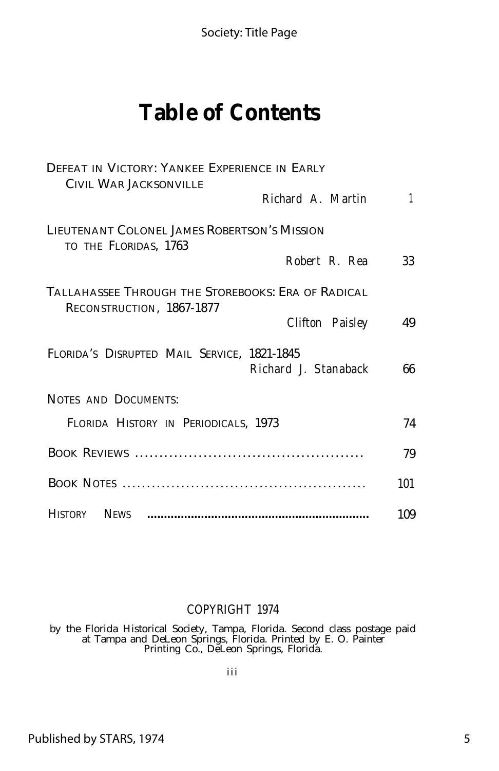# **Table of Contents**

| DEFEAT IN VICTORY: YANKEE EXPERIENCE IN EARLY<br>CIVIL WAR JACKSONVILLE         |              |
|---------------------------------------------------------------------------------|--------------|
| Richard A. Martin                                                               | $\mathbf{1}$ |
| LIEUTENANT COLONEL JAMES ROBERTSON'S MISSION<br>TO THE FLORIDAS, 1763           |              |
| Robert R. Rea                                                                   | 33           |
| TALLAHASSEE THROUGH THE STOREBOOKS: ERA OF RADICAL<br>RECONSTRUCTION, 1867-1877 |              |
| Clifton Paisley                                                                 | 49           |
| FLORIDA'S DISRUPTED MAIL SERVICE, 1821-1845<br>Richard J. Stanaback             | 66           |
| NOTES AND DOCUMENTS:                                                            |              |
| FLORIDA HISTORY IN PERIODICALS, 1973                                            | 74           |
|                                                                                 | 79           |
|                                                                                 | 101          |
| <b>NEWS</b><br><b>HISTORY</b>                                                   | 109          |

### COPYRIGHT 1974

by the Florida Historical Society, Tampa, Florida. Second class postage paid at Tampa and DeLeon Springs, Florida. Printed by E. O. Painter Printing Co., DeLeon Springs, Florida.